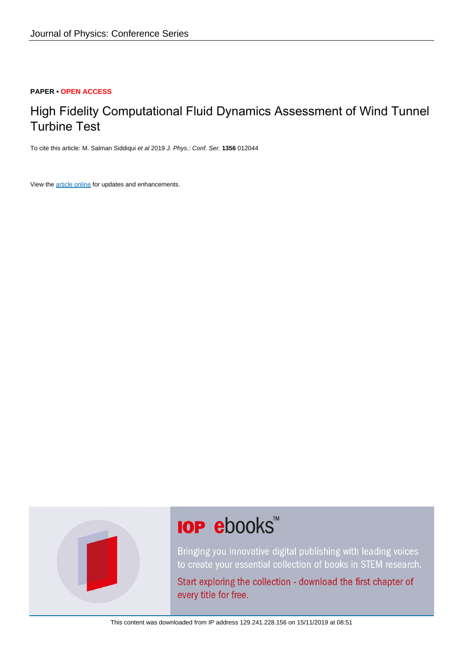#### **PAPER • OPEN ACCESS**

## High Fidelity Computational Fluid Dynamics Assessment of Wind Tunnel Turbine Test

To cite this article: M. Salman Siddiqui et al 2019 J. Phys.: Conf. Ser. **1356** 012044

View the [article online](https://doi.org/10.1088/1742-6596/1356/1/012044) for updates and enhancements.



# **IOP ebooks™**

Bringing you innovative digital publishing with leading voices to create your essential collection of books in STEM research.

Start exploring the collection - download the first chapter of every title for free.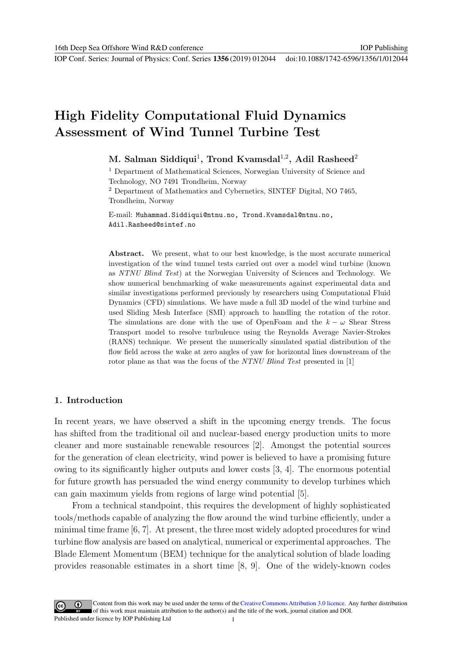IOP Publishing

## **High Fidelity Computational Fluid Dynamics Assessment of Wind Tunnel Turbine Test**

### **M. Salman Siddiqui**<sup>1</sup>**, Trond Kvamsdal**<sup>1</sup>,<sup>2</sup>**, Adil Rasheed**<sup>2</sup>

<sup>1</sup> Department of Mathematical Sciences, Norwegian University of Science and Technology, NO 7491 Trondheim, Norway

<sup>2</sup> Department of Mathematics and Cybernetics, SINTEF Digital, NO 7465, Trondheim, Norway

E-mail: Muhammad.Siddiqui@ntnu.no, Trond.Kvamsdal@ntnu.no, Adil.Rasheed@sintef.no

Abstract. We present, what to our best knowledge, is the most accurate numerical investigation of the wind tunnel tests carried out over a model wind turbine (known as NTNU Blind Test) at the Norwegian University of Sciences and Technology. We show numerical benchmarking of wake measurements against experimental data and similar investigations performed previously by researchers using Computational Fluid Dynamics (CFD) simulations. We have made a full 3D model of the wind turbine and used Sliding Mesh Interface (SMI) approach to handling the rotation of the rotor. The simulations are done with the use of OpenFoam and the  $k - \omega$  Shear Stress Transport model to resolve turbulence using the Reynolds Average Navier-Strokes (RANS) technique. We present the numerically simulated spatial distribution of the flow field across the wake at zero angles of yaw for horizontal lines downstream of the rotor plane as that was the focus of the NTNU Blind Test presented in [1]

#### **1. Introduction**

In recent years, we have observed a shift in the upcoming energy trends. The focus has shifted from the traditional oil and nuclear-based energy production units to more cleaner and more sustainable renewable resources [2]. Amongst the potential sources for the generation of clean electricity, wind power is believed to have a promising future owing to its significantly higher outputs and lower costs [3, 4]. The enormous potential for future growth has persuaded the wind energy community to develop turbines which can gain maximum yields from regions of large wind potential [5].

From a technical standpoint, this requires the development of highly sophisticated tools/methods capable of analyzing the flow around the wind turbine efficiently, under a minimal time frame [6, 7]. At present, the three most widely adopted procedures for wind turbine flow analysis are based on analytical, numerical or experimental approaches. The Blade Element Momentum (BEM) technique for the analytical solution of blade loading provides reasonable estimates in a short time [8, 9]. One of the widely-known codes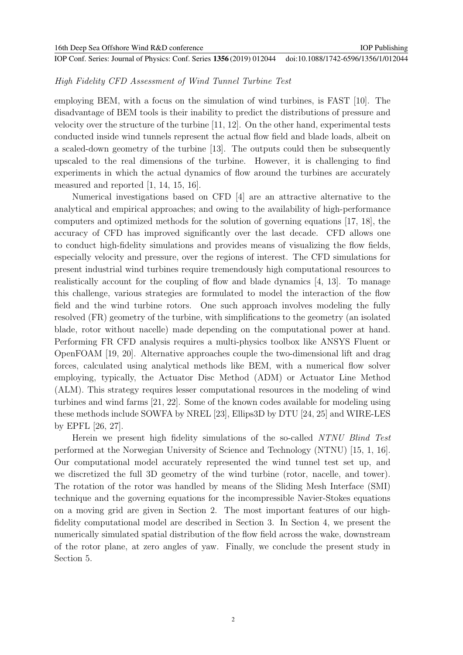#### High Fidelity CFD Assessment of Wind Tunnel Turbine Test

employing BEM, with a focus on the simulation of wind turbines, is FAST [10]. The disadvantage of BEM tools is their inability to predict the distributions of pressure and velocity over the structure of the turbine [11, 12]. On the other hand, experimental tests conducted inside wind tunnels represent the actual flow field and blade loads, albeit on a scaled-down geometry of the turbine [13]. The outputs could then be subsequently upscaled to the real dimensions of the turbine. However, it is challenging to find experiments in which the actual dynamics of flow around the turbines are accurately measured and reported [1, 14, 15, 16].

Numerical investigations based on CFD [4] are an attractive alternative to the analytical and empirical approaches; and owing to the availability of high-performance computers and optimized methods for the solution of governing equations [17, 18], the accuracy of CFD has improved significantly over the last decade. CFD allows one to conduct high-fidelity simulations and provides means of visualizing the flow fields, especially velocity and pressure, over the regions of interest. The CFD simulations for present industrial wind turbines require tremendously high computational resources to realistically account for the coupling of flow and blade dynamics [4, 13]. To manage this challenge, various strategies are formulated to model the interaction of the flow field and the wind turbine rotors. One such approach involves modeling the fully resolved (FR) geometry of the turbine, with simplifications to the geometry (an isolated blade, rotor without nacelle) made depending on the computational power at hand. Performing FR CFD analysis requires a multi-physics toolbox like ANSYS Fluent or OpenFOAM [19, 20]. Alternative approaches couple the two-dimensional lift and drag forces, calculated using analytical methods like BEM, with a numerical flow solver employing, typically, the Actuator Disc Method (ADM) or Actuator Line Method (ALM). This strategy requires lesser computational resources in the modeling of wind turbines and wind farms [21, 22]. Some of the known codes available for modeling using these methods include SOWFA by NREL [23], Ellips3D by DTU [24, 25] and WIRE-LES by EPFL [26, 27].

Herein we present high fidelity simulations of the so-called NTNU Blind Test performed at the Norwegian University of Science and Technology (NTNU) [15, 1, 16]. Our computational model accurately represented the wind tunnel test set up, and we discretized the full 3D geometry of the wind turbine (rotor, nacelle, and tower). The rotation of the rotor was handled by means of the Sliding Mesh Interface (SMI) technique and the governing equations for the incompressible Navier-Stokes equations on a moving grid are given in Section 2. The most important features of our highfidelity computational model are described in Section 3. In Section 4, we present the numerically simulated spatial distribution of the flow field across the wake, downstream of the rotor plane, at zero angles of yaw. Finally, we conclude the present study in Section 5.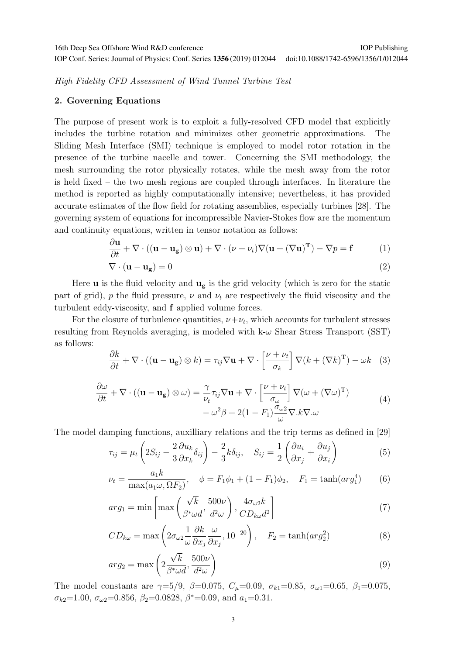High Fidelity CFD Assessment of Wind Tunnel Turbine Test

#### **2. Governing Equations**

The purpose of present work is to exploit a fully-resolved CFD model that explicitly includes the turbine rotation and minimizes other geometric approximations. The Sliding Mesh Interface (SMI) technique is employed to model rotor rotation in the presence of the turbine nacelle and tower. Concerning the SMI methodology, the mesh surrounding the rotor physically rotates, while the mesh away from the rotor is held fixed – the two mesh regions are coupled through interfaces. In literature the method is reported as highly computationally intensive; nevertheless, it has provided accurate estimates of the flow field for rotating assemblies, especially turbines [28]. The governing system of equations for incompressible Navier-Stokes flow are the momentum and continuity equations, written in tensor notation as follows:

$$
\frac{\partial \mathbf{u}}{\partial t} + \nabla \cdot ((\mathbf{u} - \mathbf{u_g}) \otimes \mathbf{u}) + \nabla \cdot (\nu + \nu_t) \nabla (\mathbf{u} + (\nabla \mathbf{u})^T) - \nabla p = \mathbf{f}
$$
 (1)

$$
\nabla \cdot (\mathbf{u} - \mathbf{u_g}) = 0 \tag{2}
$$

Here **u** is the fluid velocity and  $\mathbf{u}_{g}$  is the grid velocity (which is zero for the static part of grid), p the fluid pressure,  $\nu$  and  $\nu_t$  are respectively the fluid viscosity and the turbulent eddy-viscosity, and **f** applied volume forces.

For the closure of turbulence quantities,  $\nu+\nu_t$ , which accounts for turbulent stresses resulting from Reynolds averaging, is modeled with  $k-\omega$  Shear Stress Transport (SST) as follows:

$$
\frac{\partial k}{\partial t} + \nabla \cdot ((\mathbf{u} - \mathbf{u_g}) \otimes k) = \tau_{ij} \nabla \mathbf{u} + \nabla \cdot \left[ \frac{\nu + \nu_t}{\sigma_k} \right] \nabla (k + (\nabla k)^{\mathrm{T}}) - \omega k \tag{3}
$$

$$
\frac{\partial \omega}{\partial t} + \nabla \cdot ((\mathbf{u} - \mathbf{u}_{\mathbf{g}}) \otimes \omega) = \frac{\gamma}{\nu_t} \tau_{ij} \nabla \mathbf{u} + \nabla \cdot \left[ \frac{\nu + \nu_t}{\sigma_\omega} \right] \nabla (\omega + (\nabla \omega)^{\mathrm{T}}) \n- \omega^2 \beta + 2(1 - F_1) \frac{\sigma_{\omega 2}}{\omega} \nabla . k \nabla . \omega
$$
\n(4)

The model damping functions, auxilliary relations and the trip terms as defined in [29]

$$
\tau_{ij} = \mu_t \left( 2S_{ij} - \frac{2}{3} \frac{\partial u_k}{\partial x_k} \delta_{ij} \right) - \frac{2}{3} k \delta_{ij}, \quad S_{ij} = \frac{1}{2} \left( \frac{\partial u_i}{\partial x_j} + \frac{\partial u_j}{\partial x_i} \right) \tag{5}
$$

$$
\nu_t = \frac{a_1 k}{\max(a_1 \omega, \Omega F_2)}, \quad \phi = F_1 \phi_1 + (1 - F_1) \phi_2, \quad F_1 = \tanh(\arg_1^4) \tag{6}
$$

$$
arg_1 = \min\left[\max\left(\frac{\sqrt{k}}{\beta^*\omega d}, \frac{500\nu}{d^2\omega}\right), \frac{4\sigma_{\omega 2}k}{CD_{k\omega}d^2}\right]
$$
(7)

$$
CD_{k\omega} = \max\left(2\sigma_{\omega 2} \frac{1}{\omega} \frac{\partial k}{\partial x_j} \frac{\omega}{\partial x_j}, 10^{-20}\right), \quad F_2 = \tanh(\arg_2^2)
$$
 (8)

$$
arg_2 = \max\left(2\frac{\sqrt{k}}{\beta^*\omega d}, \frac{500\nu}{d^2\omega}\right) \tag{9}
$$

The model constants are  $\gamma = 5/9$ ,  $\beta = 0.075$ ,  $C_{\mu} = 0.09$ ,  $\sigma_{k1} = 0.85$ ,  $\sigma_{\omega 1} = 0.65$ ,  $\beta_1 = 0.075$ ,  $\sigma_{k2}$ =1.00,  $\sigma_{\omega 2}$ =0.856,  $\beta_2$ =0.0828,  $\beta^*$ =0.09, and  $a_1$ =0.31.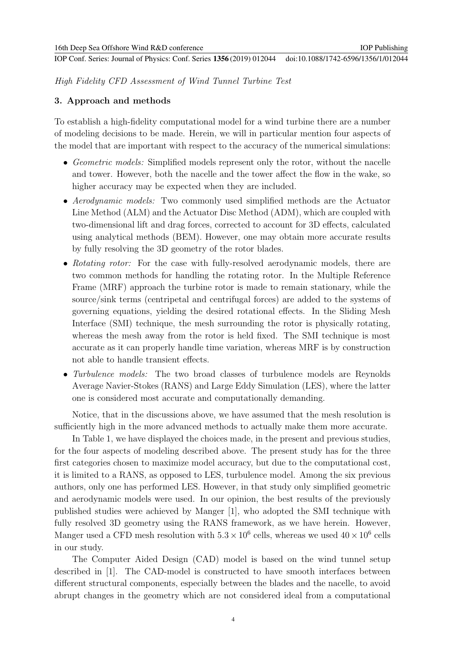High Fidelity CFD Assessment of Wind Tunnel Turbine Test

#### **3. Approach and methods**

To establish a high-fidelity computational model for a wind turbine there are a number of modeling decisions to be made. Herein, we will in particular mention four aspects of the model that are important with respect to the accuracy of the numerical simulations:

- Geometric models: Simplified models represent only the rotor, without the nacelle and tower. However, both the nacelle and the tower affect the flow in the wake, so higher accuracy may be expected when they are included.
- Aerodynamic models: Two commonly used simplified methods are the Actuator Line Method (ALM) and the Actuator Disc Method (ADM), which are coupled with two-dimensional lift and drag forces, corrected to account for 3D effects, calculated using analytical methods (BEM). However, one may obtain more accurate results by fully resolving the 3D geometry of the rotor blades.
- Rotating rotor: For the case with fully-resolved aerodynamic models, there are two common methods for handling the rotating rotor. In the Multiple Reference Frame (MRF) approach the turbine rotor is made to remain stationary, while the source/sink terms (centripetal and centrifugal forces) are added to the systems of governing equations, yielding the desired rotational effects. In the Sliding Mesh Interface (SMI) technique, the mesh surrounding the rotor is physically rotating, whereas the mesh away from the rotor is held fixed. The SMI technique is most accurate as it can properly handle time variation, whereas MRF is by construction not able to handle transient effects.
- Turbulence models: The two broad classes of turbulence models are Reynolds Average Navier-Stokes (RANS) and Large Eddy Simulation (LES), where the latter one is considered most accurate and computationally demanding.

Notice, that in the discussions above, we have assumed that the mesh resolution is sufficiently high in the more advanced methods to actually make them more accurate.

In Table 1, we have displayed the choices made, in the present and previous studies, for the four aspects of modeling described above. The present study has for the three first categories chosen to maximize model accuracy, but due to the computational cost, it is limited to a RANS, as opposed to LES, turbulence model. Among the six previous authors, only one has performed LES. However, in that study only simplified geometric and aerodynamic models were used. In our opinion, the best results of the previously published studies were achieved by Manger [1], who adopted the SMI technique with fully resolved 3D geometry using the RANS framework, as we have herein. However, Manger used a CFD mesh resolution with  $5.3 \times 10^6$  cells, whereas we used  $40 \times 10^6$  cells in our study.

The Computer Aided Design (CAD) model is based on the wind tunnel setup described in [1]. The CAD-model is constructed to have smooth interfaces between different structural components, especially between the blades and the nacelle, to avoid abrupt changes in the geometry which are not considered ideal from a computational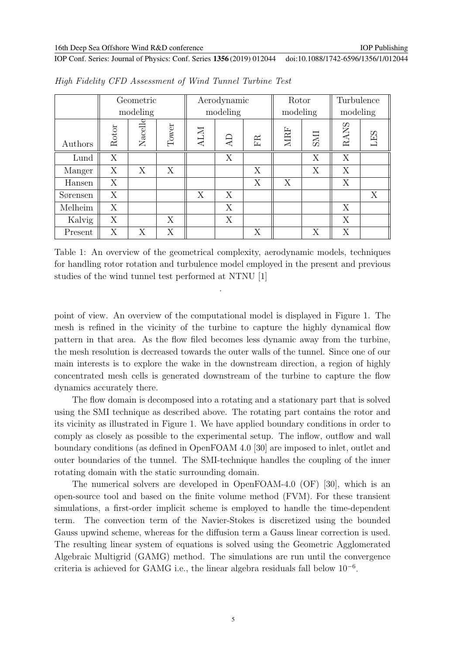|          | Geometric |         |       | Aerodynamic |    |    | Rotor    |            | Turbulence |     |
|----------|-----------|---------|-------|-------------|----|----|----------|------------|------------|-----|
|          | modeling  |         |       | modeling    |    |    | modeling |            | modeling   |     |
| Authors  | Rotor     | Nacelle | Tower | <b>ALM</b>  | AD | FR | MRF      | <b>INS</b> | RANS       | LES |
| Lund     | X         |         |       |             | X  |    |          | X          | X          |     |
| Manger   | X         | X       | X     |             |    | X  |          | X          | X          |     |
| Hansen   | X         |         |       |             |    | X  | X        |            | X          |     |
| Sørensen | X         |         |       | X           | X  |    |          |            |            | X   |
| Melheim  | X         |         |       |             | X  |    |          |            | X          |     |
| Kalvig   | X         |         | X     |             | X  |    |          |            | X          |     |
| Present  | X         | X       | X     |             |    | X  |          | X          | X          |     |

High Fidelity CFD Assessment of Wind Tunnel Turbine Test

Table 1: An overview of the geometrical complexity, aerodynamic models, techniques for handling rotor rotation and turbulence model employed in the present and previous studies of the wind tunnel test performed at NTNU [1]

.

point of view. An overview of the computational model is displayed in Figure 1. The mesh is refined in the vicinity of the turbine to capture the highly dynamical flow pattern in that area. As the flow filed becomes less dynamic away from the turbine, the mesh resolution is decreased towards the outer walls of the tunnel. Since one of our main interests is to explore the wake in the downstream direction, a region of highly concentrated mesh cells is generated downstream of the turbine to capture the flow dynamics accurately there.

The flow domain is decomposed into a rotating and a stationary part that is solved using the SMI technique as described above. The rotating part contains the rotor and its vicinity as illustrated in Figure 1. We have applied boundary conditions in order to comply as closely as possible to the experimental setup. The inflow, outflow and wall boundary conditions (as defined in OpenFOAM 4.0 [30] are imposed to inlet, outlet and outer boundaries of the tunnel. The SMI-technique handles the coupling of the inner rotating domain with the static surrounding domain.

The numerical solvers are developed in OpenFOAM-4.0 (OF) [30], which is an open-source tool and based on the finite volume method (FVM). For these transient simulations, a first-order implicit scheme is employed to handle the time-dependent term. The convection term of the Navier-Stokes is discretized using the bounded Gauss upwind scheme, whereas for the diffusion term a Gauss linear correction is used. The resulting linear system of equations is solved using the Geometric Agglomerated Algebraic Multigrid (GAMG) method. The simulations are run until the convergence criteria is achieved for GAMG i.e., the linear algebra residuals fall below  $10^{-6}$ .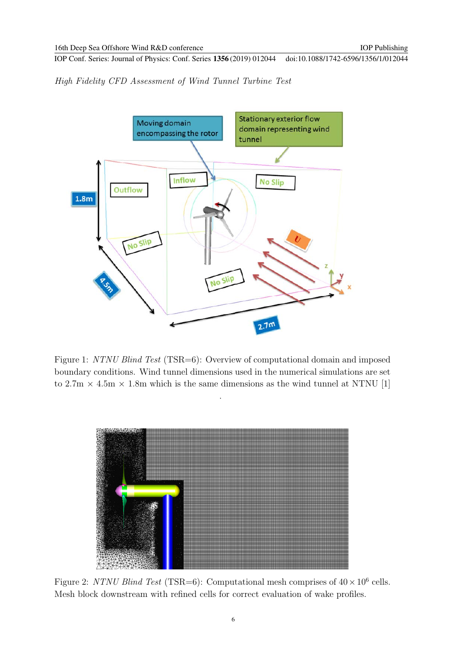High Fidelity CFD Assessment of Wind Tunnel Turbine Test



Figure 1: NTNU Blind Test (TSR=6): Overview of computational domain and imposed boundary conditions. Wind tunnel dimensions used in the numerical simulations are set to  $2.7 \text{m} \times 4.5 \text{m} \times 1.8 \text{m}$  which is the same dimensions as the wind tunnel at NTNU [1]

.



Figure 2: NTNU Blind Test (TSR=6): Computational mesh comprises of  $40 \times 10^6$  cells. Mesh block downstream with refined cells for correct evaluation of wake profiles.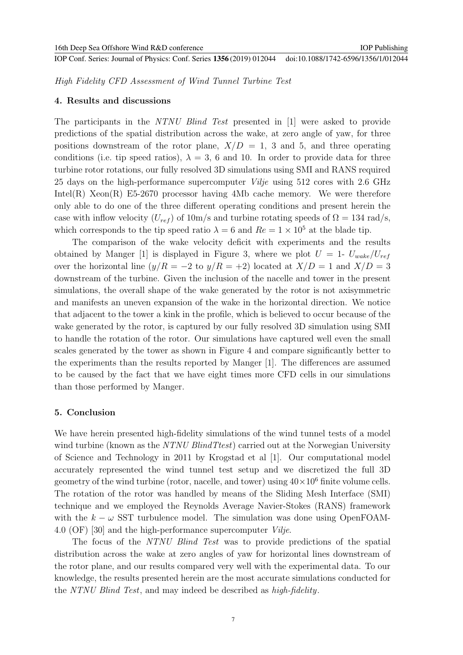High Fidelity CFD Assessment of Wind Tunnel Turbine Test

#### **4. Results and discussions**

The participants in the NTNU Blind Test presented in [1] were asked to provide predictions of the spatial distribution across the wake, at zero angle of yaw, for three positions downstream of the rotor plane,  $X/D = 1$ , 3 and 5, and three operating conditions (i.e. tip speed ratios),  $\lambda = 3$ , 6 and 10. In order to provide data for three turbine rotor rotations, our fully resolved 3D simulations using SMI and RANS required 25 days on the high-performance supercomputer Vilje using 512 cores with 2.6 GHz Intel(R)  $Xeon(R)$  E5-2670 processor having 4Mb cache memory. We were therefore only able to do one of the three different operating conditions and present herein the case with inflow velocity  $(U_{ref})$  of 10m/s and turbine rotating speeds of  $\Omega = 134$  rad/s, which corresponds to the tip speed ratio  $\lambda = 6$  and  $Re = 1 \times 10^5$  at the blade tip.

The comparison of the wake velocity deficit with experiments and the results obtained by Manger [1] is displayed in Figure 3, where we plot  $U = 1$ -  $U_{wake}/U_{ref}$ over the horizontal line  $(y/R = -2$  to  $y/R = +2)$  located at  $X/D = 1$  and  $X/D = 3$ downstream of the turbine. Given the inclusion of the nacelle and tower in the present simulations, the overall shape of the wake generated by the rotor is not axisymmetric and manifests an uneven expansion of the wake in the horizontal direction. We notice that adjacent to the tower a kink in the profile, which is believed to occur because of the wake generated by the rotor, is captured by our fully resolved 3D simulation using SMI to handle the rotation of the rotor. Our simulations have captured well even the small scales generated by the tower as shown in Figure 4 and compare significantly better to the experiments than the results reported by Manger [1]. The differences are assumed to be caused by the fact that we have eight times more CFD cells in our simulations than those performed by Manger.

#### **5. Conclusion**

We have herein presented high-fidelity simulations of the wind tunnel tests of a model wind turbine (known as the NTNU BlindTtest) carried out at the Norwegian University of Science and Technology in 2011 by Krogstad et al [1]. Our computational model accurately represented the wind tunnel test setup and we discretized the full 3D geometry of the wind turbine (rotor, nacelle, and tower) using  $40 \times 10^6$  finite volume cells. The rotation of the rotor was handled by means of the Sliding Mesh Interface (SMI) technique and we employed the Reynolds Average Navier-Stokes (RANS) framework with the  $k - \omega$  SST turbulence model. The simulation was done using OpenFOAM-4.0 (OF) [30] and the high-performance supercomputer Vilje.

The focus of the NTNU Blind Test was to provide predictions of the spatial distribution across the wake at zero angles of yaw for horizontal lines downstream of the rotor plane, and our results compared very well with the experimental data. To our knowledge, the results presented herein are the most accurate simulations conducted for the NTNU Blind Test, and may indeed be described as high-fidelity.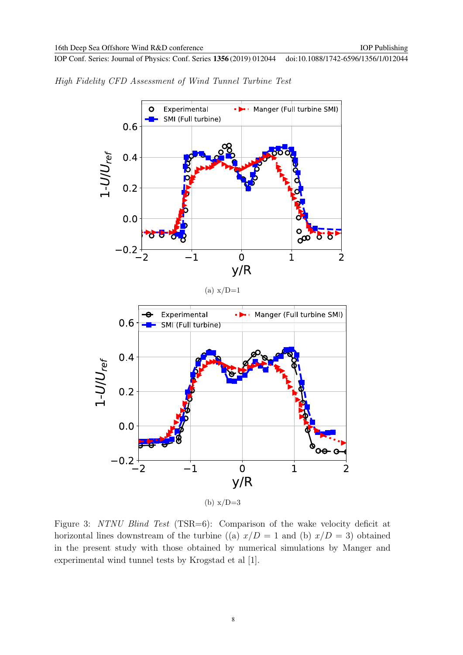High Fidelity CFD Assessment of Wind Tunnel Turbine Test



Figure 3: NTNU Blind Test (TSR=6): Comparison of the wake velocity deficit at horizontal lines downstream of the turbine ((a)  $x/D = 1$  and (b)  $x/D = 3$ ) obtained in the present study with those obtained by numerical simulations by Manger and experimental wind tunnel tests by Krogstad et al [1].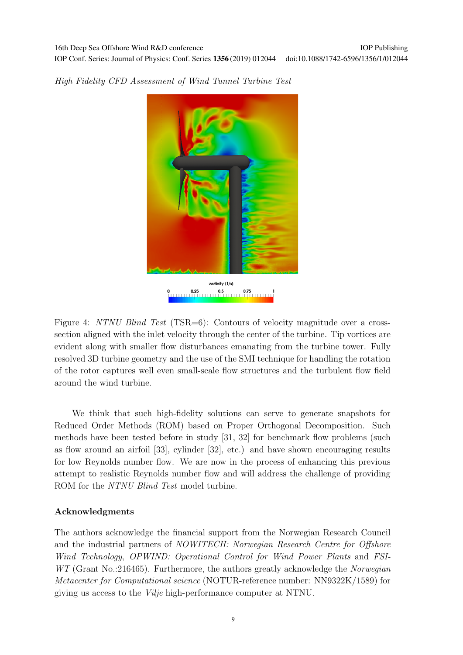

High Fidelity CFD Assessment of Wind Tunnel Turbine Test

Figure 4: NTNU Blind Test (TSR=6): Contours of velocity magnitude over a crosssection aligned with the inlet velocity through the center of the turbine. Tip vortices are evident along with smaller flow disturbances emanating from the turbine tower. Fully resolved 3D turbine geometry and the use of the SMI technique for handling the rotation of the rotor captures well even small-scale flow structures and the turbulent flow field around the wind turbine.

We think that such high-fidelity solutions can serve to generate snapshots for Reduced Order Methods (ROM) based on Proper Orthogonal Decomposition. Such methods have been tested before in study [31, 32] for benchmark flow problems (such as flow around an airfoil [33], cylinder [32], etc.) and have shown encouraging results for low Reynolds number flow. We are now in the process of enhancing this previous attempt to realistic Reynolds number flow and will address the challenge of providing ROM for the *NTNU Blind Test* model turbine.

#### **Acknowledgments**

The authors acknowledge the financial support from the Norwegian Research Council and the industrial partners of NOWITECH: Norwegian Research Centre for Offshore Wind Technology, OPWIND: Operational Control for Wind Power Plants and FSI-WT (Grant No.:216465). Furthermore, the authors greatly acknowledge the Norwegian Metacenter for Computational science (NOTUR-reference number: NN9322K/1589) for giving us access to the Vilje high-performance computer at NTNU.